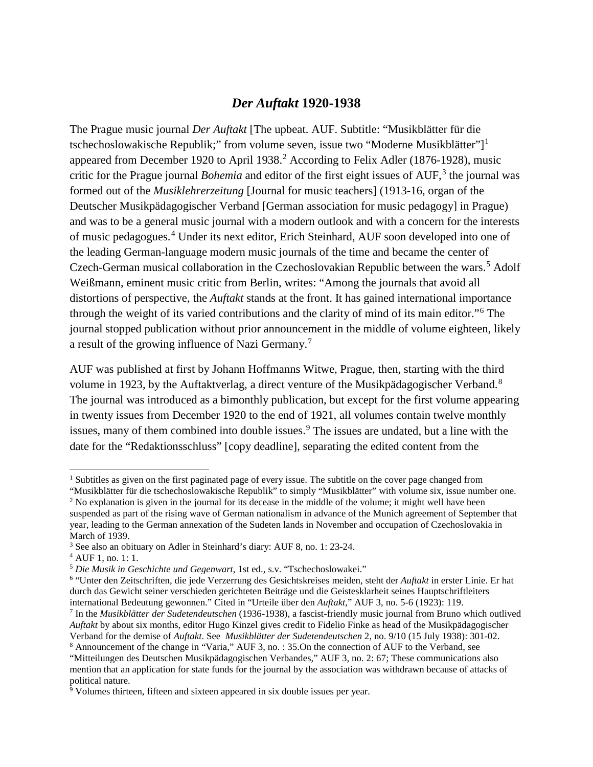### *Der Auftakt* **1920-1938**

The Prague music journal *Der Auftakt* [The upbeat. AUF. Subtitle: "Musikblätter für die tschechoslowakische Republik;" from volume seven, issue two "Moderne Musikblätter"]<sup>[1](#page-0-0)</sup> appeared from December 19[2](#page-0-1)0 to April 1938.<sup>2</sup> According to Felix Adler (1876-1928), music critic for the Prague journal *Bohemia* and editor of the first eight issues of AUF,<sup>[3](#page-0-2)</sup> the journal was formed out of the *Musiklehrerzeitung* [Journal for music teachers] (1913-16, organ of the Deutscher Musikpädagogischer Verband [German association for music pedagogy] in Prague) and was to be a general music journal with a modern outlook and with a concern for the interests of music pedagogues.<sup>[4](#page-0-3)</sup> Under its next editor, Erich Steinhard, AUF soon developed into one of the leading German-language modern music journals of the time and became the center of Czech-German musical collaboration in the Czechoslovakian Republic between the wars.<sup>[5](#page-0-4)</sup> Adolf Weißmann, eminent music critic from Berlin, writes: "Among the journals that avoid all distortions of perspective, the *Auftakt* stands at the front. It has gained international importance through the weight of its varied contributions and the clarity of mind of its main editor."[6](#page-0-5) The journal stopped publication without prior announcement in the middle of volume eighteen, likely a result of the growing influence of Nazi Germany.[7](#page-0-6)

AUF was published at first by Johann Hoffmanns Witwe, Prague, then, starting with the third volume in 1923, by the Auftaktverlag, a direct venture of the Musikpädagogischer Verband.<sup>[8](#page-0-7)</sup> The journal was introduced as a bimonthly publication, but except for the first volume appearing in twenty issues from December 1920 to the end of 1921, all volumes contain twelve monthly issues, many of them combined into double issues.<sup>[9](#page-0-8)</sup> The issues are undated, but a line with the date for the "Redaktionsschluss" [copy deadline], separating the edited content from the

<span id="page-0-0"></span><sup>&</sup>lt;sup>1</sup> Subtitles as given on the first paginated page of every issue. The subtitle on the cover page changed from

<span id="page-0-1"></span><sup>&</sup>quot;Musikblätter für die tschechoslowakische Republik" to simply "Musikblätter" with volume six, issue number one. <sup>2</sup> No explanation is given in the journal for its decease in the middle of the volume; it might well have been suspended as part of the rising wave of German nationalism in advance of the Munich agreement of September that year, leading to the German annexation of the Sudeten lands in November and occupation of Czechoslovakia in March of 1939.

<span id="page-0-2"></span><sup>3</sup> See also an obituary on Adler in Steinhard's diary: AUF 8, no. 1: 23-24.

<span id="page-0-3"></span><sup>4</sup> AUF 1, no. 1: 1.

<span id="page-0-4"></span><sup>5</sup> *Die Musik in Geschichte und Gegenwart*, 1st ed., s.v. "Tschechoslowakei."

<span id="page-0-5"></span><sup>6</sup> "Unter den Zeitschriften, die jede Verzerrung des Gesichtskreises meiden, steht der *Auftakt* in erster Linie. Er hat durch das Gewicht seiner verschieden gerichteten Beiträge und die Geistesklarheit seines Hauptschriftleiters international Bedeutung gewonnen." Cited in "Urteile über den *Auftakt*," AUF 3, no. 5-6 (1923): 119.

<span id="page-0-6"></span><sup>7</sup> In the *Musikblätter der Sudetendeutschen* (1936-1938), a fascist-friendly music journal from Bruno which outlived *Auftakt* by about six months, editor Hugo Kinzel gives credit to Fidelio Finke as head of the Musikpädagogischer Verband for the demise of *Auftakt*. See *Musikblätter der Sudetendeutschen* 2, no. 9/10 (15 July 1938): 301-02.

<span id="page-0-7"></span><sup>8</sup> Announcement of the change in "Varia," AUF 3, no. : 35.On the connection of AUF to the Verband, see

<sup>&</sup>quot;Mitteilungen des Deutschen Musikpädagogischen Verbandes," AUF 3, no. 2: 67; These communications also mention that an application for state funds for the journal by the association was withdrawn because of attacks of political nature.

<span id="page-0-8"></span> $\frac{1}{9}$  Volumes thirteen, fifteen and sixteen appeared in six double issues per year.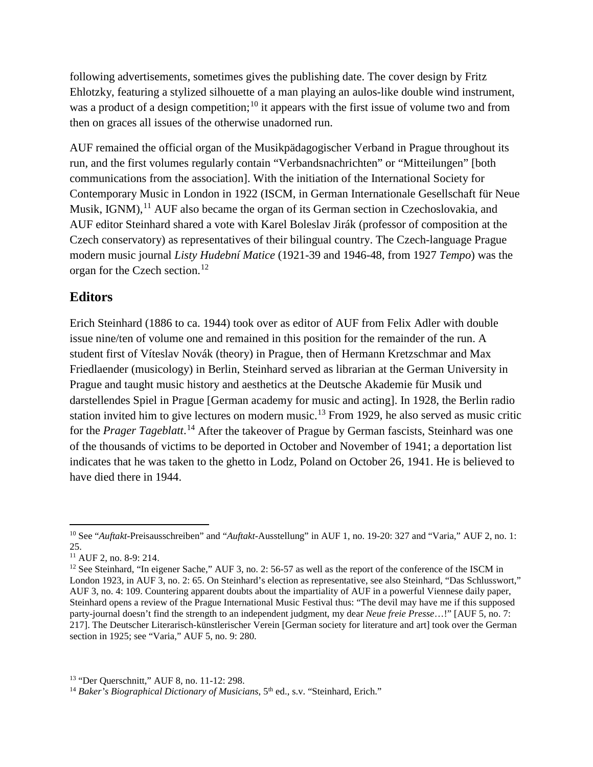following advertisements, sometimes gives the publishing date. The cover design by Fritz Ehlotzky, featuring a stylized silhouette of a man playing an aulos-like double wind instrument, was a product of a design competition;<sup>[10](#page-1-0)</sup> it appears with the first issue of volume two and from then on graces all issues of the otherwise unadorned run.

AUF remained the official organ of the Musikpädagogischer Verband in Prague throughout its run, and the first volumes regularly contain "Verbandsnachrichten" or "Mitteilungen" [both communications from the association]. With the initiation of the International Society for Contemporary Music in London in 1922 (ISCM, in German Internationale Gesellschaft für Neue Musik, IGNM),  $^{11}$  $^{11}$  $^{11}$  AUF also became the organ of its German section in Czechoslovakia, and AUF editor Steinhard shared a vote with Karel Boleslav Jirák (professor of composition at the Czech conservatory) as representatives of their bilingual country. The Czech-language Prague modern music journal *Listy Hudební Matice* (1921-39 and 1946-48, from 1927 *Tempo*) was the organ for the Czech section.<sup>[12](#page-1-2)</sup>

## **Editors**

Erich Steinhard (1886 to ca. 1944) took over as editor of AUF from Felix Adler with double issue nine/ten of volume one and remained in this position for the remainder of the run. A student first of Víteslav Novák (theory) in Prague, then of Hermann Kretzschmar and Max Friedlaender (musicology) in Berlin, Steinhard served as librarian at the German University in Prague and taught music history and aesthetics at the Deutsche Akademie für Musik und darstellendes Spiel in Prague [German academy for music and acting]. In 1928, the Berlin radio station invited him to give lectures on modern music.<sup>[13](#page-1-3)</sup> From 1929, he also served as music critic for the *Prager Tageblatt*. [14](#page-1-4) After the takeover of Prague by German fascists, Steinhard was one of the thousands of victims to be deported in October and November of 1941; a deportation list indicates that he was taken to the ghetto in Lodz, Poland on October 26, 1941. He is believed to have died there in 1944.

<span id="page-1-0"></span> <sup>10</sup> See "*Auftakt*-Preisausschreiben" and "*Auftakt*-Ausstellung" in AUF 1, no. 19-20: 327 and "Varia," AUF 2, no. 1: 25.

<span id="page-1-1"></span><sup>11</sup> AUF 2, no. 8-9: 214.

<span id="page-1-2"></span><sup>&</sup>lt;sup>12</sup> See Steinhard, "In eigener Sache," AUF 3, no. 2: 56-57 as well as the report of the conference of the ISCM in London 1923, in AUF 3, no. 2: 65. On Steinhard's election as representative, see also Steinhard, "Das Schlusswort," AUF 3, no. 4: 109. Countering apparent doubts about the impartiality of AUF in a powerful Viennese daily paper, Steinhard opens a review of the Prague International Music Festival thus: "The devil may have me if this supposed party-journal doesn't find the strength to an independent judgment, my dear *Neue freie Presse*…!" [AUF 5, no. 7: 217]. The Deutscher Literarisch-künstlerischer Verein [German society for literature and art] took over the German section in 1925; see "Varia," AUF 5, no. 9: 280.

<span id="page-1-3"></span><sup>13</sup> "Der Querschnitt," AUF 8, no. 11-12: 298.

<span id="page-1-4"></span><sup>&</sup>lt;sup>14</sup> Baker's Biographical Dictionary of Musicians, 5<sup>th</sup> ed., s.v. "Steinhard, Erich."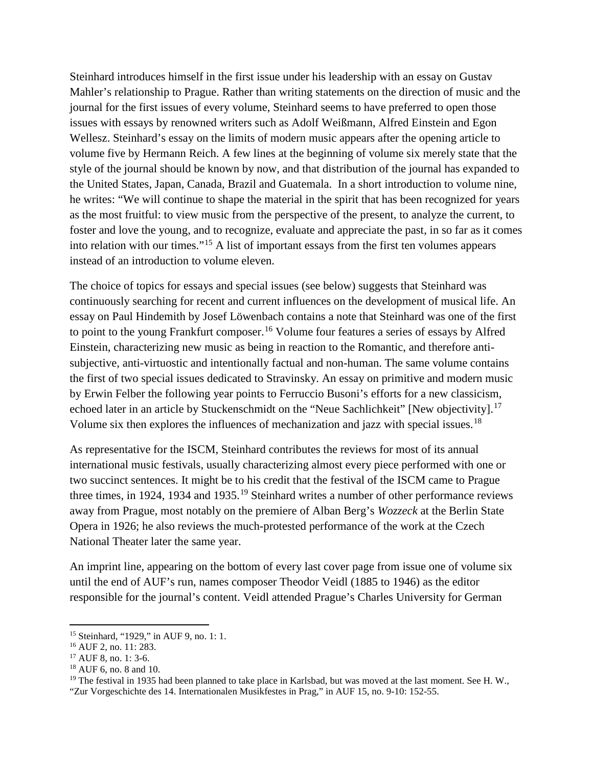Steinhard introduces himself in the first issue under his leadership with an essay on Gustav Mahler's relationship to Prague. Rather than writing statements on the direction of music and the journal for the first issues of every volume, Steinhard seems to have preferred to open those issues with essays by renowned writers such as Adolf Weißmann, Alfred Einstein and Egon Wellesz. Steinhard's essay on the limits of modern music appears after the opening article to volume five by Hermann Reich. A few lines at the beginning of volume six merely state that the style of the journal should be known by now, and that distribution of the journal has expanded to the United States, Japan, Canada, Brazil and Guatemala. In a short introduction to volume nine, he writes: "We will continue to shape the material in the spirit that has been recognized for years as the most fruitful: to view music from the perspective of the present, to analyze the current, to foster and love the young, and to recognize, evaluate and appreciate the past, in so far as it comes into relation with our times."[15](#page-2-0) A list of important essays from the first ten volumes appears instead of an introduction to volume eleven.

The choice of topics for essays and special issues (see below) suggests that Steinhard was continuously searching for recent and current influences on the development of musical life. An essay on Paul Hindemith by Josef Löwenbach contains a note that Steinhard was one of the first to point to the young Frankfurt composer.<sup>[16](#page-2-1)</sup> Volume four features a series of essays by Alfred Einstein, characterizing new music as being in reaction to the Romantic, and therefore antisubjective, anti-virtuostic and intentionally factual and non-human. The same volume contains the first of two special issues dedicated to Stravinsky. An essay on primitive and modern music by Erwin Felber the following year points to Ferruccio Busoni's efforts for a new classicism, echoed later in an article by Stuckenschmidt on the "Neue Sachlichkeit" [New objectivity].<sup>[17](#page-2-2)</sup> Volume six then explores the influences of mechanization and jazz with special issues.<sup>[18](#page-2-3)</sup>

As representative for the ISCM, Steinhard contributes the reviews for most of its annual international music festivals, usually characterizing almost every piece performed with one or two succinct sentences. It might be to his credit that the festival of the ISCM came to Prague three times, in [19](#page-2-4)24, 1934 and 1935.<sup>19</sup> Steinhard writes a number of other performance reviews away from Prague, most notably on the premiere of Alban Berg's *Wozzeck* at the Berlin State Opera in 1926; he also reviews the much-protested performance of the work at the Czech National Theater later the same year.

An imprint line, appearing on the bottom of every last cover page from issue one of volume six until the end of AUF's run, names composer Theodor Veidl (1885 to 1946) as the editor responsible for the journal's content. Veidl attended Prague's Charles University for German

<span id="page-2-0"></span> <sup>15</sup> Steinhard, "1929," in AUF 9, no. 1: 1.

<span id="page-2-1"></span><sup>16</sup> AUF 2, no. 11: 283.

<span id="page-2-2"></span><sup>17</sup> AUF 8, no. 1: 3-6.

<span id="page-2-3"></span><sup>18</sup> AUF 6, no. 8 and 10.

<span id="page-2-4"></span><sup>&</sup>lt;sup>19</sup> The festival in 1935 had been planned to take place in Karlsbad, but was moved at the last moment. See H. W., "Zur Vorgeschichte des 14. Internationalen Musikfestes in Prag," in AUF 15, no. 9-10: 152-55.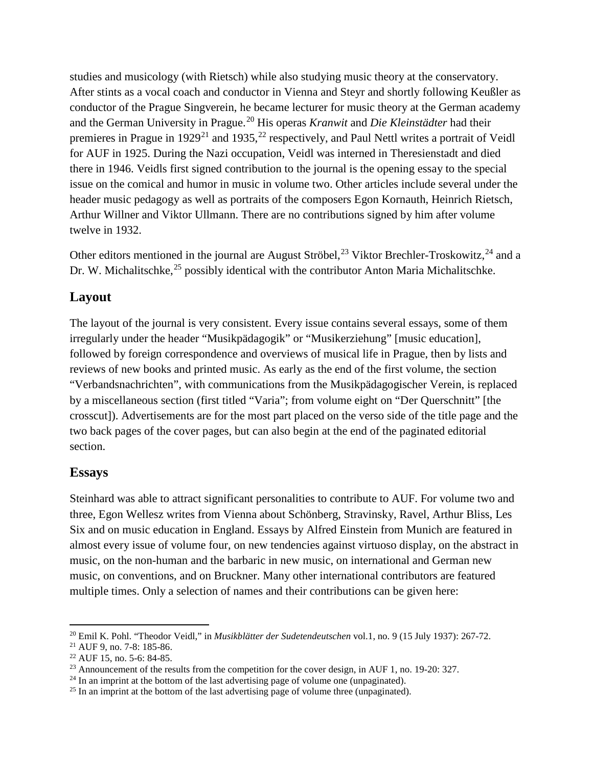studies and musicology (with Rietsch) while also studying music theory at the conservatory. After stints as a vocal coach and conductor in Vienna and Steyr and shortly following Keußler as conductor of the Prague Singverein, he became lecturer for music theory at the German academy and the German University in Prague.[20](#page-3-0) His operas *Kranwit* and *Die Kleinstädter* had their premieres in Prague in 1929<sup>[21](#page-3-1)</sup> and 1935,<sup>[22](#page-3-2)</sup> respectively, and Paul Nettl writes a portrait of Veidl for AUF in 1925. During the Nazi occupation, Veidl was interned in Theresienstadt and died there in 1946. Veidls first signed contribution to the journal is the opening essay to the special issue on the comical and humor in music in volume two. Other articles include several under the header music pedagogy as well as portraits of the composers Egon Kornauth, Heinrich Rietsch, Arthur Willner and Viktor Ullmann. There are no contributions signed by him after volume twelve in 1932.

Other editors mentioned in the journal are August Ströbel,  $^{23}$  $^{23}$  $^{23}$  Viktor Brechler-Troskowitz,  $^{24}$  $^{24}$  $^{24}$  and a Dr. W. Michalitschke,<sup>[25](#page-3-5)</sup> possibly identical with the contributor Anton Maria Michalitschke.

#### **Layout**

The layout of the journal is very consistent. Every issue contains several essays, some of them irregularly under the header "Musikpädagogik" or "Musikerziehung" [music education], followed by foreign correspondence and overviews of musical life in Prague, then by lists and reviews of new books and printed music. As early as the end of the first volume, the section "Verbandsnachrichten", with communications from the Musikpädagogischer Verein, is replaced by a miscellaneous section (first titled "Varia"; from volume eight on "Der Querschnitt" [the crosscut]). Advertisements are for the most part placed on the verso side of the title page and the two back pages of the cover pages, but can also begin at the end of the paginated editorial section.

#### **Essays**

Steinhard was able to attract significant personalities to contribute to AUF. For volume two and three, Egon Wellesz writes from Vienna about Schönberg, Stravinsky, Ravel, Arthur Bliss, Les Six and on music education in England. Essays by Alfred Einstein from Munich are featured in almost every issue of volume four, on new tendencies against virtuoso display, on the abstract in music, on the non-human and the barbaric in new music, on international and German new music, on conventions, and on Bruckner. Many other international contributors are featured multiple times. Only a selection of names and their contributions can be given here:

<span id="page-3-0"></span> <sup>20</sup> Emil K. Pohl. "Theodor Veidl," in *Musikblätter der Sudetendeutschen* vol.1, no. 9 (15 July 1937): 267-72.

<span id="page-3-1"></span><sup>21</sup> AUF 9, no. 7-8: 185-86.

<span id="page-3-2"></span><sup>22</sup> AUF 15, no. 5-6: 84-85.

<span id="page-3-3"></span><sup>&</sup>lt;sup>23</sup> Announcement of the results from the competition for the cover design, in AUF 1, no. 19-20: 327.

<span id="page-3-4"></span> $24$  In an imprint at the bottom of the last advertising page of volume one (unpaginated).

<span id="page-3-5"></span><sup>&</sup>lt;sup>25</sup> In an imprint at the bottom of the last advertising page of volume three (unpaginated).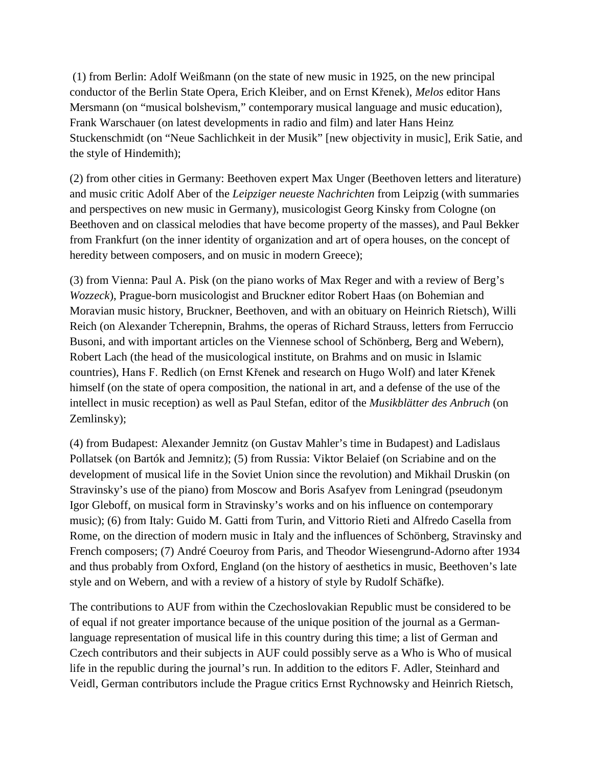(1) from Berlin: Adolf Weißmann (on the state of new music in 1925, on the new principal conductor of the Berlin State Opera, Erich Kleiber, and on Ernst Křenek), *Melos* editor Hans Mersmann (on "musical bolshevism," contemporary musical language and music education), Frank Warschauer (on latest developments in radio and film) and later Hans Heinz Stuckenschmidt (on "Neue Sachlichkeit in der Musik" [new objectivity in music], Erik Satie, and the style of Hindemith);

(2) from other cities in Germany: Beethoven expert Max Unger (Beethoven letters and literature) and music critic Adolf Aber of the *Leipziger neueste Nachrichten* from Leipzig (with summaries and perspectives on new music in Germany), musicologist Georg Kinsky from Cologne (on Beethoven and on classical melodies that have become property of the masses), and Paul Bekker from Frankfurt (on the inner identity of organization and art of opera houses, on the concept of heredity between composers, and on music in modern Greece);

(3) from Vienna: Paul A. Pisk (on the piano works of Max Reger and with a review of Berg's *Wozzeck*), Prague-born musicologist and Bruckner editor Robert Haas (on Bohemian and Moravian music history, Bruckner, Beethoven, and with an obituary on Heinrich Rietsch), Willi Reich (on Alexander Tcherepnin, Brahms, the operas of Richard Strauss, letters from Ferruccio Busoni, and with important articles on the Viennese school of Schönberg, Berg and Webern), Robert Lach (the head of the musicological institute, on Brahms and on music in Islamic countries), Hans F. Redlich (on Ernst Křenek and research on Hugo Wolf) and later Křenek himself (on the state of opera composition, the national in art, and a defense of the use of the intellect in music reception) as well as Paul Stefan, editor of the *Musikblätter des Anbruch* (on Zemlinsky);

(4) from Budapest: Alexander Jemnitz (on Gustav Mahler's time in Budapest) and Ladislaus Pollatsek (on Bartók and Jemnitz); (5) from Russia: Viktor Belaief (on Scriabine and on the development of musical life in the Soviet Union since the revolution) and Mikhail Druskin (on Stravinsky's use of the piano) from Moscow and Boris Asafyev from Leningrad (pseudonym Igor Gleboff, on musical form in Stravinsky's works and on his influence on contemporary music); (6) from Italy: Guido M. Gatti from Turin, and Vittorio Rieti and Alfredo Casella from Rome, on the direction of modern music in Italy and the influences of Schönberg, Stravinsky and French composers; (7) André Coeuroy from Paris, and Theodor Wiesengrund-Adorno after 1934 and thus probably from Oxford, England (on the history of aesthetics in music, Beethoven's late style and on Webern, and with a review of a history of style by Rudolf Schäfke).

The contributions to AUF from within the Czechoslovakian Republic must be considered to be of equal if not greater importance because of the unique position of the journal as a Germanlanguage representation of musical life in this country during this time; a list of German and Czech contributors and their subjects in AUF could possibly serve as a Who is Who of musical life in the republic during the journal's run. In addition to the editors F. Adler, Steinhard and Veidl, German contributors include the Prague critics Ernst Rychnowsky and Heinrich Rietsch,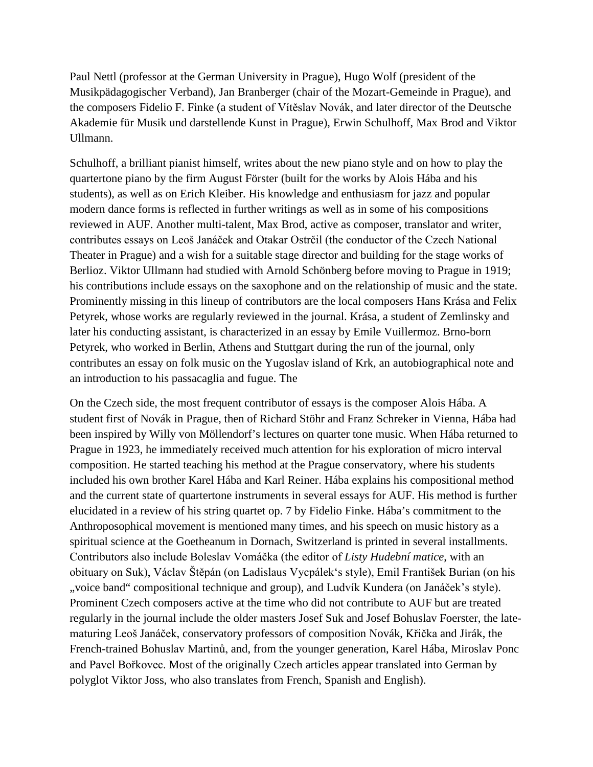Paul Nettl (professor at the German University in Prague), Hugo Wolf (president of the Musikpädagogischer Verband), Jan Branberger (chair of the Mozart-Gemeinde in Prague), and the composers Fidelio F. Finke (a student of Vítěslav Novák, and later director of the Deutsche Akademie für Musik und darstellende Kunst in Prague), Erwin Schulhoff, Max Brod and Viktor Ullmann.

Schulhoff, a brilliant pianist himself, writes about the new piano style and on how to play the quartertone piano by the firm August Förster (built for the works by Alois Hába and his students), as well as on Erich Kleiber. His knowledge and enthusiasm for jazz and popular modern dance forms is reflected in further writings as well as in some of his compositions reviewed in AUF. Another multi-talent, Max Brod, active as composer, translator and writer, contributes essays on Leoš Janáček and Otakar Ostrčil (the conductor of the Czech National Theater in Prague) and a wish for a suitable stage director and building for the stage works of Berlioz. Viktor Ullmann had studied with Arnold Schönberg before moving to Prague in 1919; his contributions include essays on the saxophone and on the relationship of music and the state. Prominently missing in this lineup of contributors are the local composers Hans Krása and Felix Petyrek, whose works are regularly reviewed in the journal. Krása, a student of Zemlinsky and later his conducting assistant, is characterized in an essay by Emile Vuillermoz. Brno-born Petyrek, who worked in Berlin, Athens and Stuttgart during the run of the journal, only contributes an essay on folk music on the Yugoslav island of Krk, an autobiographical note and an introduction to his passacaglia and fugue. The

On the Czech side, the most frequent contributor of essays is the composer Alois Hába. A student first of Novák in Prague, then of Richard Stöhr and Franz Schreker in Vienna, Hába had been inspired by Willy von Möllendorf's lectures on quarter tone music. When Hába returned to Prague in 1923, he immediately received much attention for his exploration of micro interval composition. He started teaching his method at the Prague conservatory, where his students included his own brother Karel Hába and Karl Reiner. Hába explains his compositional method and the current state of quartertone instruments in several essays for AUF. His method is further elucidated in a review of his string quartet op. 7 by Fidelio Finke. Hába's commitment to the Anthroposophical movement is mentioned many times, and his speech on music history as a spiritual science at the Goetheanum in Dornach, Switzerland is printed in several installments. Contributors also include Boleslav Vomáčka (the editor of *Listy Hudební matice*, with an obituary on Suk), Václav Štěpán (on Ladislaus Vycpálek's style), Emil František Burian (on his ", voice band" compositional technique and group), and Ludvík Kundera (on Janáček's style). Prominent Czech composers active at the time who did not contribute to AUF but are treated regularly in the journal include the older masters Josef Suk and Josef Bohuslav Foerster, the latematuring Leoš Janáček, conservatory professors of composition Novák, Křička and Jirák, the French-trained Bohuslav Martinů, and, from the younger generation, Karel Hába, Miroslav Ponc and Pavel Bořkovec. Most of the originally Czech articles appear translated into German by polyglot Viktor Joss, who also translates from French, Spanish and English).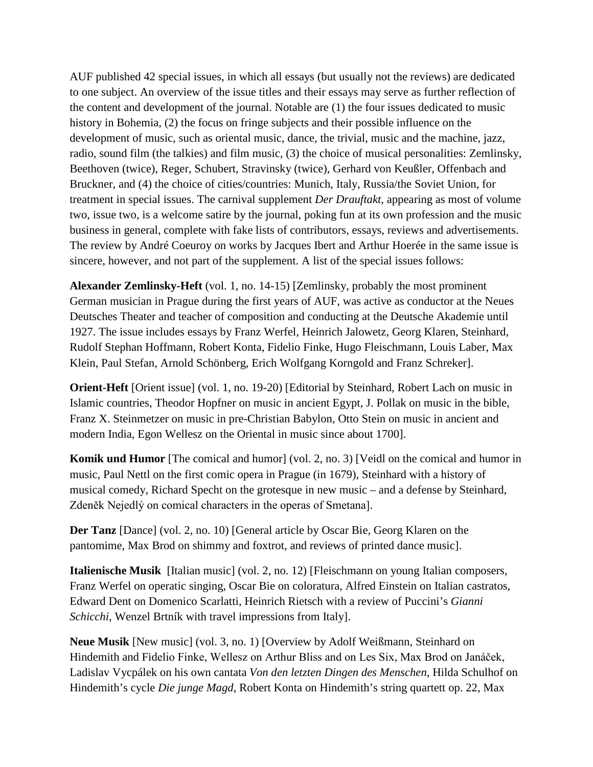AUF published 42 special issues, in which all essays (but usually not the reviews) are dedicated to one subject. An overview of the issue titles and their essays may serve as further reflection of the content and development of the journal. Notable are (1) the four issues dedicated to music history in Bohemia, (2) the focus on fringe subjects and their possible influence on the development of music, such as oriental music, dance, the trivial, music and the machine, jazz, radio, sound film (the talkies) and film music, (3) the choice of musical personalities: Zemlinsky, Beethoven (twice), Reger, Schubert, Stravinsky (twice), Gerhard von Keußler, Offenbach and Bruckner, and (4) the choice of cities/countries: Munich, Italy, Russia/the Soviet Union, for treatment in special issues. The carnival supplement *Der Drauftakt*, appearing as most of volume two, issue two, is a welcome satire by the journal, poking fun at its own profession and the music business in general, complete with fake lists of contributors, essays, reviews and advertisements. The review by André Coeuroy on works by Jacques Ibert and Arthur Hoerée in the same issue is sincere, however, and not part of the supplement. A list of the special issues follows:

**Alexander Zemlinsky-Heft** (vol. 1, no. 14-15) [Zemlinsky, probably the most prominent German musician in Prague during the first years of AUF, was active as conductor at the Neues Deutsches Theater and teacher of composition and conducting at the Deutsche Akademie until 1927. The issue includes essays by Franz Werfel, Heinrich Jalowetz, Georg Klaren, Steinhard, Rudolf Stephan Hoffmann, Robert Konta, Fidelio Finke, Hugo Fleischmann, Louis Laber, Max Klein, Paul Stefan, Arnold Schönberg, Erich Wolfgang Korngold and Franz Schreker].

**Orient-Heft** [Orient issue] (vol. 1, no. 19-20) [Editorial by Steinhard, Robert Lach on music in Islamic countries, Theodor Hopfner on music in ancient Egypt, J. Pollak on music in the bible, Franz X. Steinmetzer on music in pre-Christian Babylon, Otto Stein on music in ancient and modern India, Egon Wellesz on the Oriental in music since about 1700].

**Komik und Humor** [The comical and humor] (vol. 2, no. 3) [Veidl on the comical and humor in music, Paul Nettl on the first comic opera in Prague (in 1679), Steinhard with a history of musical comedy, Richard Specht on the grotesque in new music – and a defense by Steinhard, Zdeněk Nejedlý on comical characters in the operas of Smetana].

**Der Tanz** [Dance] (vol. 2, no. 10) [General article by Oscar Bie, Georg Klaren on the pantomime, Max Brod on shimmy and foxtrot, and reviews of printed dance music].

**Italienische Musik** [Italian music] (vol. 2, no. 12) [Fleischmann on young Italian composers, Franz Werfel on operatic singing, Oscar Bie on coloratura, Alfred Einstein on Italian castratos, Edward Dent on Domenico Scarlatti, Heinrich Rietsch with a review of Puccini's *Gianni Schicchi*, Wenzel Brtník with travel impressions from Italy].

**Neue Musik** [New music] (vol. 3, no. 1) [Overview by Adolf Weißmann, Steinhard on Hindemith and Fidelio Finke, Wellesz on Arthur Bliss and on Les Six, Max Brod on Janáček, Ladislav Vycpálek on his own cantata *Von den letzten Dingen des Menschen*, Hilda Schulhof on Hindemith's cycle *Die junge Magd*, Robert Konta on Hindemith's string quartett op. 22, Max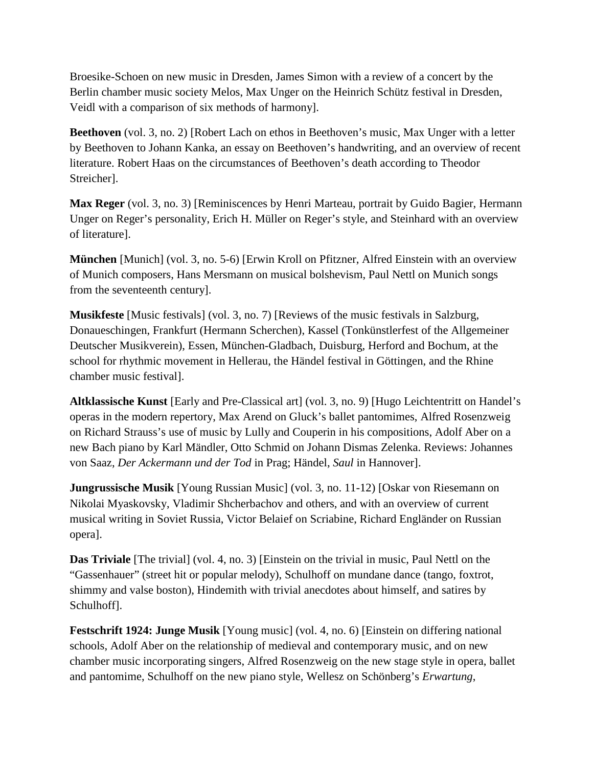Broesike-Schoen on new music in Dresden, James Simon with a review of a concert by the Berlin chamber music society Melos, Max Unger on the Heinrich Schütz festival in Dresden, Veidl with a comparison of six methods of harmony].

**Beethoven** (vol. 3, no. 2) [Robert Lach on ethos in Beethoven's music, Max Unger with a letter by Beethoven to Johann Kanka, an essay on Beethoven's handwriting, and an overview of recent literature. Robert Haas on the circumstances of Beethoven's death according to Theodor Streicher].

**Max Reger** (vol. 3, no. 3) [Reminiscences by Henri Marteau, portrait by Guido Bagier, Hermann Unger on Reger's personality, Erich H. Müller on Reger's style, and Steinhard with an overview of literature].

**München** [Munich] (vol. 3, no. 5-6) [Erwin Kroll on Pfitzner, Alfred Einstein with an overview of Munich composers, Hans Mersmann on musical bolshevism, Paul Nettl on Munich songs from the seventeenth century].

**Musikfeste** [Music festivals] (vol. 3, no. 7) [Reviews of the music festivals in Salzburg, Donaueschingen, Frankfurt (Hermann Scherchen), Kassel (Tonkünstlerfest of the Allgemeiner Deutscher Musikverein), Essen, München-Gladbach, Duisburg, Herford and Bochum, at the school for rhythmic movement in Hellerau, the Händel festival in Göttingen, and the Rhine chamber music festival].

**Altklassische Kunst** [Early and Pre-Classical art] (vol. 3, no. 9) [Hugo Leichtentritt on Handel's operas in the modern repertory, Max Arend on Gluck's ballet pantomimes, Alfred Rosenzweig on Richard Strauss's use of music by Lully and Couperin in his compositions, Adolf Aber on a new Bach piano by Karl Mändler, Otto Schmid on Johann Dismas Zelenka. Reviews: Johannes von Saaz, *Der Ackermann und der Tod* in Prag; Händel, *Saul* in Hannover].

**Jungrussische Musik** [Young Russian Music] (vol. 3, no. 11-12) [Oskar von Riesemann on Nikolai Myaskovsky, Vladimir Shcherbachov and others, and with an overview of current musical writing in Soviet Russia, Victor Belaief on Scriabine, Richard Engländer on Russian opera].

**Das Triviale** [The trivial] (vol. 4, no. 3) [Einstein on the trivial in music, Paul Nettl on the "Gassenhauer" (street hit or popular melody), Schulhoff on mundane dance (tango, foxtrot, shimmy and valse boston), Hindemith with trivial anecdotes about himself, and satires by Schulhoff].

**Festschrift 1924: Junge Musik** [Young music] (vol. 4, no. 6) [Einstein on differing national schools, Adolf Aber on the relationship of medieval and contemporary music, and on new chamber music incorporating singers, Alfred Rosenzweig on the new stage style in opera, ballet and pantomime, Schulhoff on the new piano style, Wellesz on Schönberg's *Erwartung*,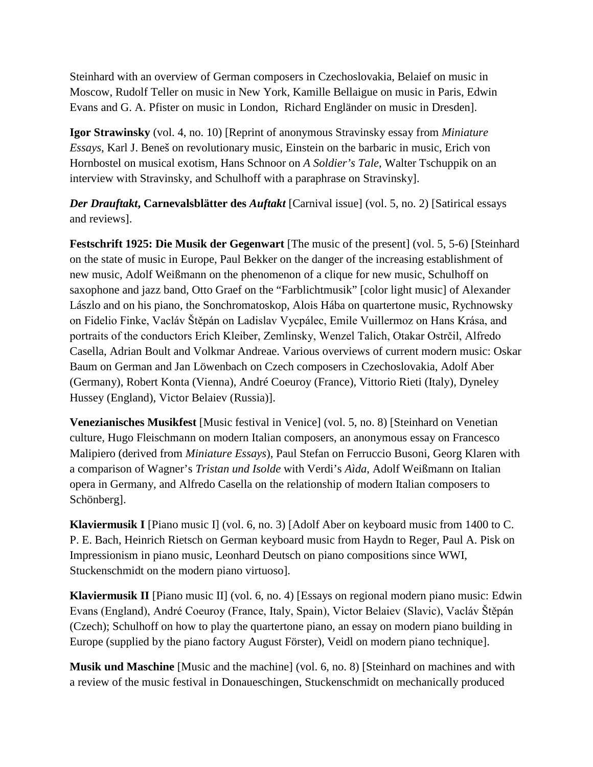Steinhard with an overview of German composers in Czechoslovakia, Belaief on music in Moscow, Rudolf Teller on music in New York, Kamille Bellaigue on music in Paris, Edwin Evans and G. A. Pfister on music in London, Richard Engländer on music in Dresden].

**Igor Strawinsky** (vol. 4, no. 10) [Reprint of anonymous Stravinsky essay from *Miniature Essays*, Karl J. Beneš on revolutionary music, Einstein on the barbaric in music, Erich von Hornbostel on musical exotism, Hans Schnoor on *A Soldier's Tale*, Walter Tschuppik on an interview with Stravinsky, and Schulhoff with a paraphrase on Stravinsky].

*Der Drauftakt***, Carnevalsblätter des** *Auftakt* [Carnival issue] (vol. 5, no. 2) [Satirical essays and reviews].

**Festschrift 1925: Die Musik der Gegenwart** [The music of the present] (vol. 5, 5-6) [Steinhard on the state of music in Europe, Paul Bekker on the danger of the increasing establishment of new music, Adolf Weißmann on the phenomenon of a clique for new music, Schulhoff on saxophone and jazz band, Otto Graef on the "Farblichtmusik" [color light music] of Alexander Lászlo and on his piano, the Sonchromatoskop, Alois Hába on quartertone music, Rychnowsky on Fidelio Finke, Vacláv Štěpán on Ladislav Vycpálec, Emile Vuillermoz on Hans Krása, and portraits of the conductors Erich Kleiber, Zemlinsky, Wenzel Talich, Otakar Ostrčil, Alfredo Casella, Adrian Boult and Volkmar Andreae. Various overviews of current modern music: Oskar Baum on German and Jan Löwenbach on Czech composers in Czechoslovakia, Adolf Aber (Germany), Robert Konta (Vienna), André Coeuroy (France), Vittorio Rieti (Italy), Dyneley Hussey (England), Victor Belaiev (Russia)].

**Venezianisches Musikfest** [Music festival in Venice] (vol. 5, no. 8) [Steinhard on Venetian culture, Hugo Fleischmann on modern Italian composers, an anonymous essay on Francesco Malipiero (derived from *Miniature Essays*), Paul Stefan on Ferruccio Busoni, Georg Klaren with a comparison of Wagner's *Tristan und Isolde* with Verdi's *Aìda*, Adolf Weißmann on Italian opera in Germany, and Alfredo Casella on the relationship of modern Italian composers to Schönberg].

**Klaviermusik I** [Piano music I] (vol. 6, no. 3) [Adolf Aber on keyboard music from 1400 to C. P. E. Bach, Heinrich Rietsch on German keyboard music from Haydn to Reger, Paul A. Pisk on Impressionism in piano music, Leonhard Deutsch on piano compositions since WWI, Stuckenschmidt on the modern piano virtuoso].

**Klaviermusik II** [Piano music II] (vol. 6, no. 4) [Essays on regional modern piano music: Edwin Evans (England), André Coeuroy (France, Italy, Spain), Victor Belaiev (Slavic), Vacláv Štěpán (Czech); Schulhoff on how to play the quartertone piano, an essay on modern piano building in Europe (supplied by the piano factory August Förster), Veidl on modern piano technique].

**Musik und Maschine** [Music and the machine] (vol. 6, no. 8) [Steinhard on machines and with a review of the music festival in Donaueschingen, Stuckenschmidt on mechanically produced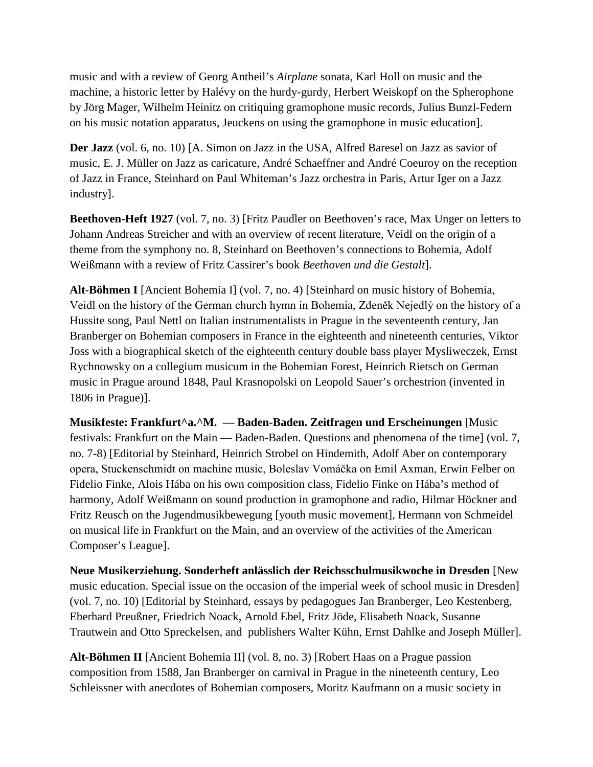music and with a review of Georg Antheil's *Airplane* sonata, Karl Holl on music and the machine, a historic letter by Halévy on the hurdy-gurdy, Herbert Weiskopf on the Spherophone by Jörg Mager, Wilhelm Heinitz on critiquing gramophone music records, Julius Bunzl-Federn on his music notation apparatus, Jeuckens on using the gramophone in music education].

**Der Jazz** (vol. 6, no. 10) [A. Simon on Jazz in the USA, Alfred Baresel on Jazz as savior of music, E. J. Müller on Jazz as caricature, André Schaeffner and André Coeuroy on the reception of Jazz in France, Steinhard on Paul Whiteman's Jazz orchestra in Paris, Artur Iger on a Jazz industry].

**Beethoven-Heft 1927** (vol. 7, no. 3) [Fritz Paudler on Beethoven's race, Max Unger on letters to Johann Andreas Streicher and with an overview of recent literature, Veidl on the origin of a theme from the symphony no. 8, Steinhard on Beethoven's connections to Bohemia, Adolf Weißmann with a review of Fritz Cassirer's book *Beethoven und die Gestalt*].

**Alt-Böhmen I** [Ancient Bohemia I] (vol. 7, no. 4) [Steinhard on music history of Bohemia, Veidl on the history of the German church hymn in Bohemia, Zdeněk Nejedlý on the history of a Hussite song, Paul Nettl on Italian instrumentalists in Prague in the seventeenth century, Jan Branberger on Bohemian composers in France in the eighteenth and nineteenth centuries, Viktor Joss with a biographical sketch of the eighteenth century double bass player Mysliweczek, Ernst Rychnowsky on a collegium musicum in the Bohemian Forest, Heinrich Rietsch on German music in Prague around 1848, Paul Krasnopolski on Leopold Sauer's orchestrion (invented in 1806 in Prague)].

**Musikfeste: Frankfurt^a.^M. –– Baden-Baden. Zeitfragen und Erscheinungen** [Music festivals: Frankfurt on the Main — Baden-Baden. Questions and phenomena of the time] (vol. 7, no. 7-8) [Editorial by Steinhard, Heinrich Strobel on Hindemith, Adolf Aber on contemporary opera, Stuckenschmidt on machine music, Boleslav Vomáčka on Emil Axman, Erwin Felber on Fidelio Finke, Alois Hába on his own composition class, Fidelio Finke on Hába's method of harmony, Adolf Weißmann on sound production in gramophone and radio, Hilmar Höckner and Fritz Reusch on the Jugendmusikbewegung [youth music movement], Hermann von Schmeidel on musical life in Frankfurt on the Main, and an overview of the activities of the American Composer's League].

**Neue Musikerziehung. Sonderheft anlässlich der Reichsschulmusikwoche in Dresden** [New music education. Special issue on the occasion of the imperial week of school music in Dresden] (vol. 7, no. 10) [Editorial by Steinhard, essays by pedagogues Jan Branberger, Leo Kestenberg, Eberhard Preußner, Friedrich Noack, Arnold Ebel, Fritz Jöde, Elisabeth Noack, Susanne Trautwein and Otto Spreckelsen, and publishers Walter Kühn, Ernst Dahlke and Joseph Müller].

**Alt-Böhmen II** [Ancient Bohemia II] (vol. 8, no. 3) [Robert Haas on a Prague passion composition from 1588, Jan Branberger on carnival in Prague in the nineteenth century, Leo Schleissner with anecdotes of Bohemian composers, Moritz Kaufmann on a music society in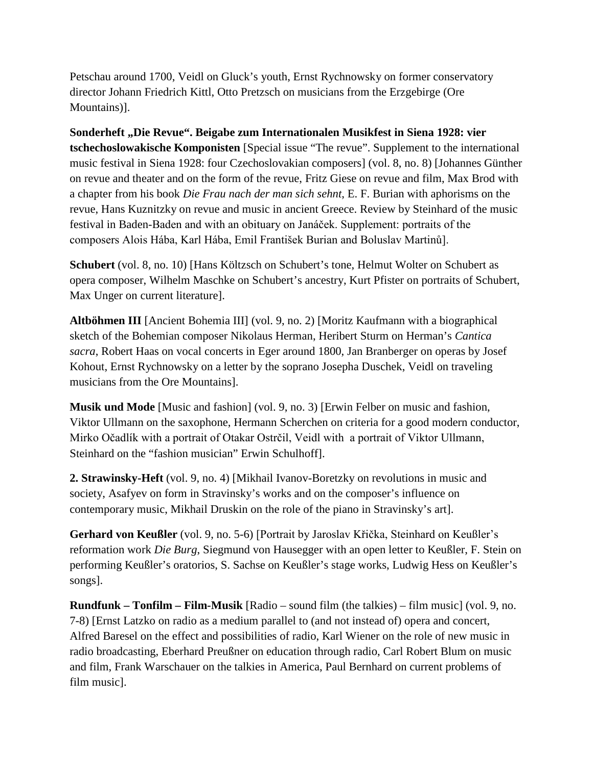Petschau around 1700, Veidl on Gluck's youth, Ernst Rychnowsky on former conservatory director Johann Friedrich Kittl, Otto Pretzsch on musicians from the Erzgebirge (Ore Mountains)].

**Sonderheft "Die Revue". Beigabe zum Internationalen Musikfest in Siena 1928: vier tschechoslowakische Komponisten** [Special issue "The revue". Supplement to the international music festival in Siena 1928: four Czechoslovakian composers] (vol. 8, no. 8) [Johannes Günther on revue and theater and on the form of the revue, Fritz Giese on revue and film, Max Brod with a chapter from his book *Die Frau nach der man sich sehnt*, E. F. Burian with aphorisms on the revue, Hans Kuznitzky on revue and music in ancient Greece. Review by Steinhard of the music festival in Baden-Baden and with an obituary on Janáček. Supplement: portraits of the composers Alois Hába, Karl Hába, Emil František Burian and Boluslav Martinů].

**Schubert** (vol. 8, no. 10) [Hans Költzsch on Schubert's tone, Helmut Wolter on Schubert as opera composer, Wilhelm Maschke on Schubert's ancestry, Kurt Pfister on portraits of Schubert, Max Unger on current literature].

**Altböhmen III** [Ancient Bohemia III] (vol. 9, no. 2) [Moritz Kaufmann with a biographical sketch of the Bohemian composer Nikolaus Herman, Heribert Sturm on Herman's *Cantica sacra*, Robert Haas on vocal concerts in Eger around 1800, Jan Branberger on operas by Josef Kohout, Ernst Rychnowsky on a letter by the soprano Josepha Duschek, Veidl on traveling musicians from the Ore Mountains].

**Musik und Mode** [Music and fashion] (vol. 9, no. 3) [Erwin Felber on music and fashion, Viktor Ullmann on the saxophone, Hermann Scherchen on criteria for a good modern conductor, Mirko Očadlík with a portrait of Otakar Ostrčil, Veidl with a portrait of Viktor Ullmann, Steinhard on the "fashion musician" Erwin Schulhoff].

**2. Strawinsky-Heft** (vol. 9, no. 4) [Mikhail Ivanov-Boretzky on revolutions in music and society, Asafyev on form in Stravinsky's works and on the composer's influence on contemporary music, Mikhail Druskin on the role of the piano in Stravinsky's art].

**Gerhard von Keußler** (vol. 9, no. 5-6) [Portrait by Jaroslav Křička, Steinhard on Keußler's reformation work *Die Burg*, Siegmund von Hausegger with an open letter to Keußler, F. Stein on performing Keußler's oratorios, S. Sachse on Keußler's stage works, Ludwig Hess on Keußler's songs].

**Rundfunk – Tonfilm – Film-Musik** [Radio – sound film (the talkies) – film music] (vol. 9, no. 7-8) [Ernst Latzko on radio as a medium parallel to (and not instead of) opera and concert, Alfred Baresel on the effect and possibilities of radio, Karl Wiener on the role of new music in radio broadcasting, Eberhard Preußner on education through radio, Carl Robert Blum on music and film, Frank Warschauer on the talkies in America, Paul Bernhard on current problems of film music].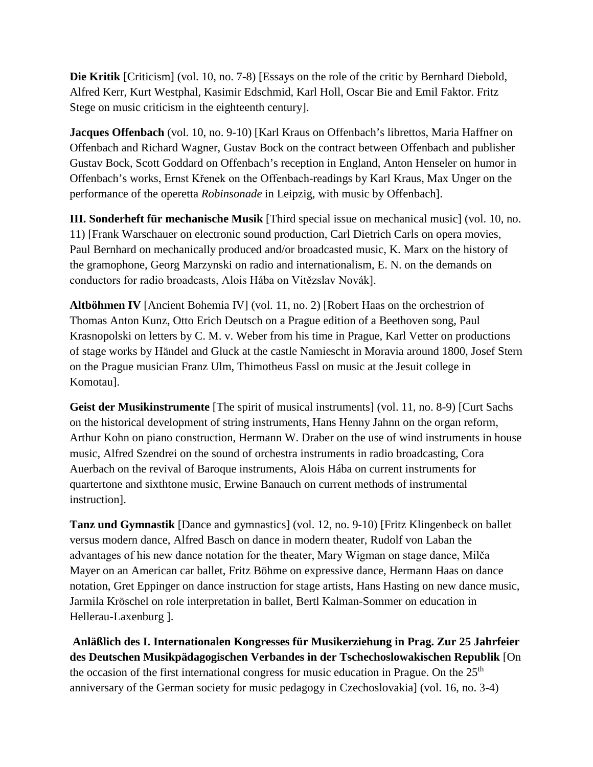**Die Kritik** [Criticism] (vol. 10, no. 7-8) [Essays on the role of the critic by Bernhard Diebold, Alfred Kerr, Kurt Westphal, Kasimir Edschmid, Karl Holl, Oscar Bie and Emil Faktor. Fritz Stege on music criticism in the eighteenth century].

**Jacques Offenbach** (vol. 10, no. 9-10) [Karl Kraus on Offenbach's librettos, Maria Haffner on Offenbach and Richard Wagner, Gustav Bock on the contract between Offenbach and publisher Gustav Bock, Scott Goddard on Offenbach's reception in England, Anton Henseler on humor in Offenbach's works, Ernst Křenek on the Offenbach-readings by Karl Kraus, Max Unger on the performance of the operetta *Robinsonade* in Leipzig, with music by Offenbach].

**III. Sonderheft für mechanische Musik** [Third special issue on mechanical music] (vol. 10, no. 11) [Frank Warschauer on electronic sound production, Carl Dietrich Carls on opera movies, Paul Bernhard on mechanically produced and/or broadcasted music, K. Marx on the history of the gramophone, Georg Marzynski on radio and internationalism, E. N. on the demands on conductors for radio broadcasts, Alois Hába on Vitězslav Novák].

**Altböhmen IV** [Ancient Bohemia IV] (vol. 11, no. 2) [Robert Haas on the orchestrion of Thomas Anton Kunz, Otto Erich Deutsch on a Prague edition of a Beethoven song, Paul Krasnopolski on letters by C. M. v. Weber from his time in Prague, Karl Vetter on productions of stage works by Händel and Gluck at the castle Namiescht in Moravia around 1800, Josef Stern on the Prague musician Franz Ulm, Thimotheus Fassl on music at the Jesuit college in Komotau].

**Geist der Musikinstrumente** [The spirit of musical instruments] (vol. 11, no. 8-9) [Curt Sachs on the historical development of string instruments, Hans Henny Jahnn on the organ reform, Arthur Kohn on piano construction, Hermann W. Draber on the use of wind instruments in house music, Alfred Szendrei on the sound of orchestra instruments in radio broadcasting, Cora Auerbach on the revival of Baroque instruments, Alois Hába on current instruments for quartertone and sixthtone music, Erwine Banauch on current methods of instrumental instruction].

**Tanz und Gymnastik** [Dance and gymnastics] (vol. 12, no. 9-10) [Fritz Klingenbeck on ballet versus modern dance, Alfred Basch on dance in modern theater, Rudolf von Laban the advantages of his new dance notation for the theater, Mary Wigman on stage dance, Milča Mayer on an American car ballet, Fritz Böhme on expressive dance, Hermann Haas on dance notation, Gret Eppinger on dance instruction for stage artists, Hans Hasting on new dance music, Jarmila Kröschel on role interpretation in ballet, Bertl Kalman-Sommer on education in Hellerau-Laxenburg ].

**Anläßlich des I. Internationalen Kongresses für Musikerziehung in Prag. Zur 25 Jahrfeier des Deutschen Musikpädagogischen Verbandes in der Tschechoslowakischen Republik** [On the occasion of the first international congress for music education in Prague. On the  $25<sup>th</sup>$ anniversary of the German society for music pedagogy in Czechoslovakia] (vol. 16, no. 3-4)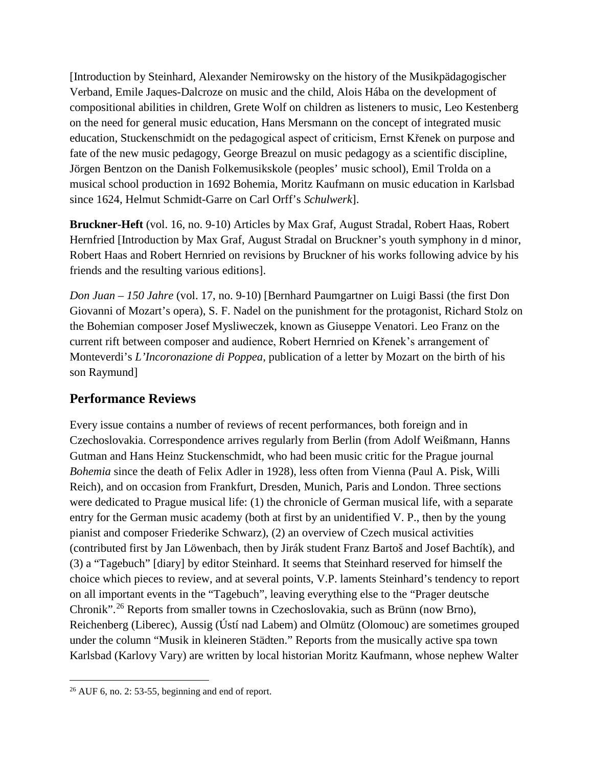[Introduction by Steinhard, Alexander Nemirowsky on the history of the Musikpädagogischer Verband, Emile Jaques-Dalcroze on music and the child, Alois Hába on the development of compositional abilities in children, Grete Wolf on children as listeners to music, Leo Kestenberg on the need for general music education, Hans Mersmann on the concept of integrated music education, Stuckenschmidt on the pedagogical aspect of criticism, Ernst Křenek on purpose and fate of the new music pedagogy, George Breazul on music pedagogy as a scientific discipline, Jörgen Bentzon on the Danish Folkemusikskole (peoples' music school), Emil Trolda on a musical school production in 1692 Bohemia, Moritz Kaufmann on music education in Karlsbad since 1624, Helmut Schmidt-Garre on Carl Orff's *Schulwerk*].

**Bruckner-Heft** (vol. 16, no. 9-10) Articles by Max Graf, August Stradal, Robert Haas, Robert Hernfried [Introduction by Max Graf, August Stradal on Bruckner's youth symphony in d minor, Robert Haas and Robert Hernried on revisions by Bruckner of his works following advice by his friends and the resulting various editions].

*Don Juan – 150 Jahre* (vol. 17, no. 9-10) [Bernhard Paumgartner on Luigi Bassi (the first Don Giovanni of Mozart's opera), S. F. Nadel on the punishment for the protagonist, Richard Stolz on the Bohemian composer Josef Mysliweczek, known as Giuseppe Venatori. Leo Franz on the current rift between composer and audience, Robert Hernried on Křenek's arrangement of Monteverdi's *L'Incoronazione di Poppea*, publication of a letter by Mozart on the birth of his son Raymund]

# **Performance Reviews**

Every issue contains a number of reviews of recent performances, both foreign and in Czechoslovakia. Correspondence arrives regularly from Berlin (from Adolf Weißmann, Hanns Gutman and Hans Heinz Stuckenschmidt, who had been music critic for the Prague journal *Bohemia* since the death of Felix Adler in 1928), less often from Vienna (Paul A. Pisk, Willi Reich), and on occasion from Frankfurt, Dresden, Munich, Paris and London. Three sections were dedicated to Prague musical life: (1) the chronicle of German musical life, with a separate entry for the German music academy (both at first by an unidentified V. P., then by the young pianist and composer Friederike Schwarz), (2) an overview of Czech musical activities (contributed first by Jan Löwenbach, then by Jirák student Franz Bartoš and Josef Bachtík), and (3) a "Tagebuch" [diary] by editor Steinhard. It seems that Steinhard reserved for himself the choice which pieces to review, and at several points, V.P. laments Steinhard's tendency to report on all important events in the "Tagebuch", leaving everything else to the "Prager deutsche Chronik".[26](#page-12-0) Reports from smaller towns in Czechoslovakia, such as Brünn (now Brno), Reichenberg (Liberec), Aussig (Ústí nad Labem) and Olmütz (Olomouc) are sometimes grouped under the column "Musik in kleineren Städten." Reports from the musically active spa town Karlsbad (Karlovy Vary) are written by local historian Moritz Kaufmann, whose nephew Walter

<span id="page-12-0"></span> <sup>26</sup> AUF 6, no. 2: 53-55, beginning and end of report.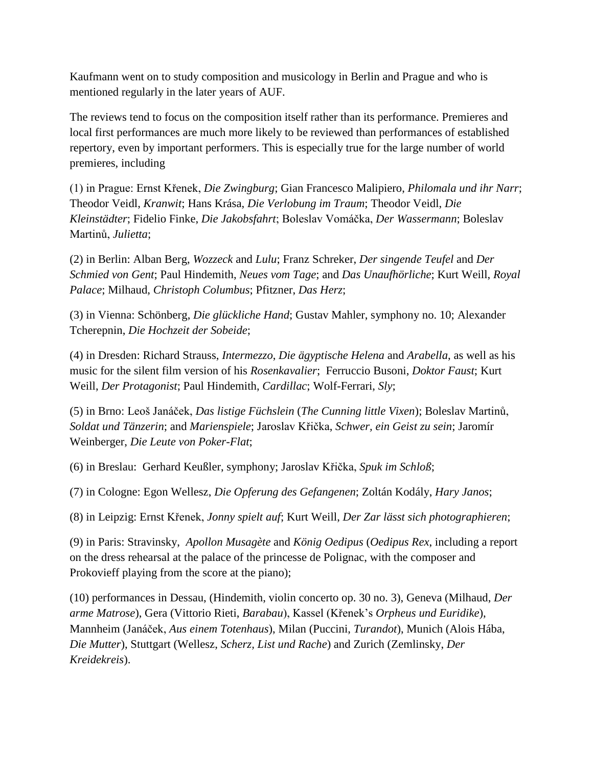Kaufmann went on to study composition and musicology in Berlin and Prague and who is mentioned regularly in the later years of AUF.

The reviews tend to focus on the composition itself rather than its performance. Premieres and local first performances are much more likely to be reviewed than performances of established repertory, even by important performers. This is especially true for the large number of world premieres, including

(1) in Prague: Ernst Křenek, *Die Zwingburg*; Gian Francesco Malipiero, *Philomala und ihr Narr*; Theodor Veidl, *Kranwit*; Hans Krása, *Die Verlobung im Traum*; Theodor Veidl, *Die Kleinstädter*; Fidelio Finke, *Die Jakobsfahrt*; Boleslav Vomáčka, *Der Wassermann*; Boleslav Martinů, *Julietta*;

(2) in Berlin: Alban Berg, *Wozzeck* and *Lulu*; Franz Schreker, *Der singende Teufel* and *Der Schmied von Gent*; Paul Hindemith, *Neues vom Tage*; and *Das Unaufhörliche*; Kurt Weill, *Royal Palace*; Milhaud, *Christoph Columbus*; Pfitzner, *Das Herz*;

(3) in Vienna: Schönberg, *Die glückliche Hand*; Gustav Mahler, symphony no. 10; Alexander Tcherepnin, *Die Hochzeit der Sobeide*;

(4) in Dresden: Richard Strauss, *Intermezzo*, *Die ägyptische Helena* and *Arabella*, as well as his music for the silent film version of his *Rosenkavalier*; Ferruccio Busoni, *Doktor Faust*; Kurt Weill, *Der Protagonist*; Paul Hindemith, *Cardillac*; Wolf-Ferrari, *Sly*;

(5) in Brno: Leoš Janáček, *Das listige Füchslein* (*The Cunning little Vixen*); Boleslav Martinů, *Soldat und Tänzerin*; and *Marienspiele*; Jaroslav Křička, *Schwer, ein Geist zu sein*; Jaromír Weinberger, *Die Leute von Poker-Flat*;

(6) in Breslau: Gerhard Keußler, symphony; Jaroslav Křička, *Spuk im Schloß*;

(7) in Cologne: Egon Wellesz, *Die Opferung des Gefangenen*; Zoltán Kodály, *Hary Janos*;

(8) in Leipzig: Ernst Křenek, *Jonny spielt auf*; Kurt Weill, *Der Zar lässt sich photographieren*;

(9) in Paris: Stravinsky, *Apollon Musagète* and *König Oedipus* (*Oedipus Rex*, including a report on the dress rehearsal at the palace of the princesse de Polignac, with the composer and Prokovieff playing from the score at the piano);

(10) performances in Dessau, (Hindemith, violin concerto op. 30 no. 3), Geneva (Milhaud, *Der arme Matrose*), Gera (Vittorio Rieti, *Barabau*), Kassel (Křenek's *Orpheus und Euridike*), Mannheim (Janáček, *Aus einem Totenhaus*), Milan (Puccini, *Turandot*), Munich (Alois Hába, *Die Mutter*), Stuttgart (Wellesz, *Scherz, List und Rache*) and Zurich (Zemlinsky, *Der Kreidekreis*).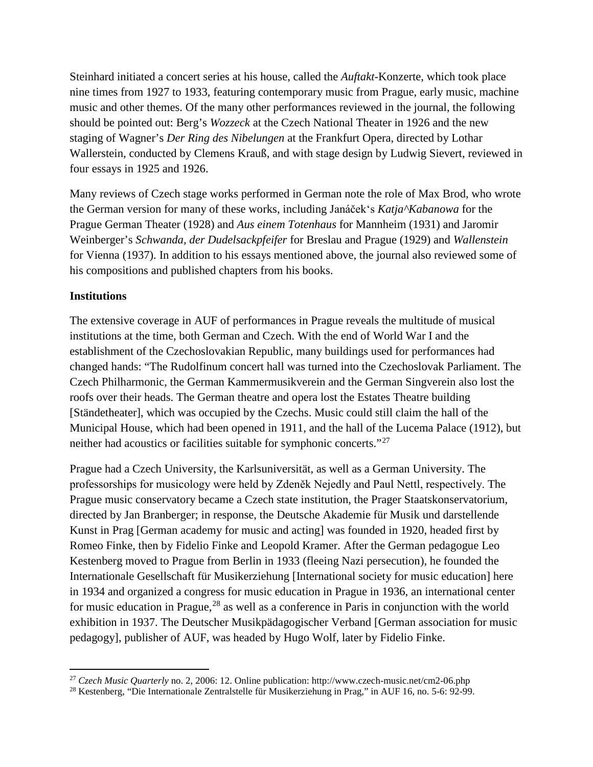Steinhard initiated a concert series at his house, called the *Auftakt*-Konzerte, which took place nine times from 1927 to 1933, featuring contemporary music from Prague, early music, machine music and other themes. Of the many other performances reviewed in the journal, the following should be pointed out: Berg's *Wozzeck* at the Czech National Theater in 1926 and the new staging of Wagner's *Der Ring des Nibelungen* at the Frankfurt Opera, directed by Lothar Wallerstein, conducted by Clemens Krauß, and with stage design by Ludwig Sievert, reviewed in four essays in 1925 and 1926.

Many reviews of Czech stage works performed in German note the role of Max Brod, who wrote the German version for many of these works, including Janáček's *Katja^Kabanowa* for the Prague German Theater (1928) and *Aus einem Totenhaus* for Mannheim (1931) and Jaromir Weinberger's *Schwanda, der Dudelsackpfeifer* for Breslau and Prague (1929) and *Wallenstein* for Vienna (1937). In addition to his essays mentioned above, the journal also reviewed some of his compositions and published chapters from his books.

#### **Institutions**

The extensive coverage in AUF of performances in Prague reveals the multitude of musical institutions at the time, both German and Czech. With the end of World War I and the establishment of the Czechoslovakian Republic, many buildings used for performances had changed hands: "The Rudolfinum concert hall was turned into the Czechoslovak Parliament. The Czech Philharmonic, the German Kammermusikverein and the German Singverein also lost the roofs over their heads. The German theatre and opera lost the Estates Theatre building [Ständetheater], which was occupied by the Czechs. Music could still claim the hall of the Municipal House, which had been opened in 1911, and the hall of the Lucema Palace (1912), but neither had acoustics or facilities suitable for symphonic concerts."[27](#page-14-0)

Prague had a Czech University, the Karlsuniversität, as well as a German University. The professorships for musicology were held by Zdeněk Nejedly and Paul Nettl, respectively. The Prague music conservatory became a Czech state institution, the Prager Staatskonservatorium, directed by Jan Branberger; in response, the Deutsche Akademie für Musik und darstellende Kunst in Prag [German academy for music and acting] was founded in 1920, headed first by Romeo Finke, then by Fidelio Finke and Leopold Kramer. After the German pedagogue Leo Kestenberg moved to Prague from Berlin in 1933 (fleeing Nazi persecution), he founded the Internationale Gesellschaft für Musikerziehung [International society for music education] here in 1934 and organized a congress for music education in Prague in 1936, an international center for music education in Prague,<sup>[28](#page-14-1)</sup> as well as a conference in Paris in conjunction with the world exhibition in 1937. The Deutscher Musikpädagogischer Verband [German association for music pedagogy], publisher of AUF, was headed by Hugo Wolf, later by Fidelio Finke.

<span id="page-14-0"></span> <sup>27</sup> *Czech Music Quarterly* no. 2, 2006: 12. Online publication: http://www.czech-music.net/cm2-06.php

<span id="page-14-1"></span><sup>28</sup> Kestenberg, "Die Internationale Zentralstelle für Musikerziehung in Prag," in AUF 16, no. 5-6: 92-99.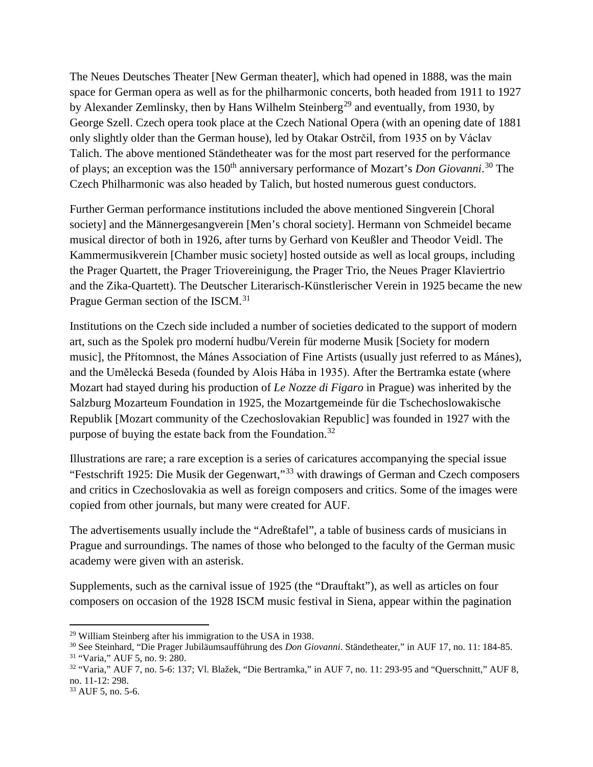The Neues Deutsches Theater [New German theater], which had opened in 1888, was the main space for German opera as well as for the philharmonic concerts, both headed from 1911 to 1927 by Alexander Zemlinsky, then by Hans Wilhelm Steinberg<sup>[29](#page-15-0)</sup> and eventually, from 1930, by George Szell. Czech opera took place at the Czech National Opera (with an opening date of 1881 only slightly older than the German house), led by Otakar Ostrčil, from 1935 on by Václav Talich. The above mentioned Ständetheater was for the most part reserved for the performance of plays; an exception was the 150<sup>th</sup> anniversary performance of Mozart's *Don Giovanni*.<sup>[30](#page-15-1)</sup> The Czech Philharmonic was also headed by Talich, but hosted numerous guest conductors.

Further German performance institutions included the above mentioned Singverein [Choral society] and the Männergesangverein [Men's choral society]. Hermann von Schmeidel became musical director of both in 1926, after turns by Gerhard von Keußler and Theodor Veidl. The Kammermusikverein [Chamber music society] hosted outside as well as local groups, including the Prager Quartett, the Prager Triovereinigung, the Prager Trio, the Neues Prager Klaviertrio and the Zika-Quartett). The Deutscher Literarisch-Künstlerischer Verein in 1925 became the new Prague German section of the ISCM.<sup>[31](#page-15-2)</sup>

Institutions on the Czech side included a number of societies dedicated to the support of modern art, such as the Spolek pro moderní hudbu/Verein für moderne Musik [Society for modern music], the Přítomnost, the Mánes Association of Fine Artists (usually just referred to as Mánes), and the Umělecká Beseda (founded by Alois Hába in 1935). After the Bertramka estate (where Mozart had stayed during his production of *Le Nozze di Figaro* in Prague) was inherited by the Salzburg Mozarteum Foundation in 1925, the Mozartgemeinde für die Tschechoslowakische Republik [Mozart community of the Czechoslovakian Republic] was founded in 1927 with the purpose of buying the estate back from the Foundation.<sup>[32](#page-15-3)</sup>

Illustrations are rare; a rare exception is a series of caricatures accompanying the special issue "Festschrift 1925: Die Musik der Gegenwart,"[33](#page-15-4) with drawings of German and Czech composers and critics in Czechoslovakia as well as foreign composers and critics. Some of the images were copied from other journals, but many were created for AUF.

The advertisements usually include the "Adreßtafel", a table of business cards of musicians in Prague and surroundings. The names of those who belonged to the faculty of the German music academy were given with an asterisk.

Supplements, such as the carnival issue of 1925 (the "Drauftakt"), as well as articles on four composers on occasion of the 1928 ISCM music festival in Siena, appear within the pagination

<span id="page-15-0"></span> <sup>29</sup> William Steinberg after his immigration to the USA in 1938.

<span id="page-15-2"></span><span id="page-15-1"></span><sup>30</sup> See Steinhard, "Die Prager Jubiläumsaufführung des *Don Giovanni*. Ständetheater," in AUF 17, no. 11: 184-85. <sup>31</sup> "Varia," AUF 5, no. 9: 280.

<span id="page-15-3"></span> $32$  "Varia," AUF 7, no. 5-6: 137; Vl. Blažek, "Die Bertramka," in AUF 7, no. 11: 293-95 and "Querschnitt," AUF 8, no. 11-12: 298.

<span id="page-15-4"></span><sup>33</sup> AUF 5, no. 5-6.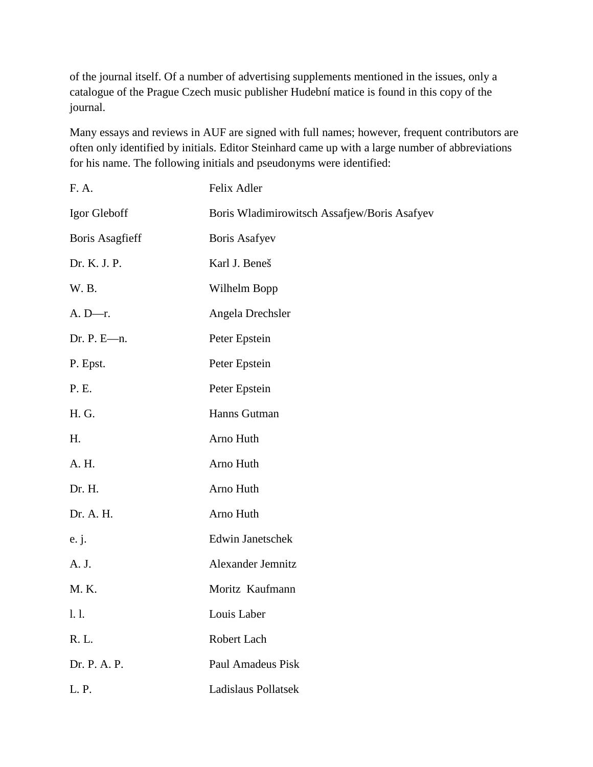of the journal itself. Of a number of advertising supplements mentioned in the issues, only a catalogue of the Prague Czech music publisher Hudební matice is found in this copy of the journal.

Many essays and reviews in AUF are signed with full names; however, frequent contributors are often only identified by initials. Editor Steinhard came up with a large number of abbreviations for his name. The following initials and pseudonyms were identified:

| F. A.                  | Felix Adler                                  |
|------------------------|----------------------------------------------|
| Igor Gleboff           | Boris Wladimirowitsch Assafjew/Boris Asafyev |
| <b>Boris Asagfieff</b> | <b>Boris Asafyev</b>                         |
| Dr. K. J. P.           | Karl J. Beneš                                |
| W. B.                  | Wilhelm Bopp                                 |
| $A. D-r.$              | Angela Drechsler                             |
| Dr. P. E $-m$ .        | Peter Epstein                                |
| P. Epst.               | Peter Epstein                                |
| P. E.                  | Peter Epstein                                |
| H. G.                  | Hanns Gutman                                 |
| Η.                     | Arno Huth                                    |
| A. H.                  | Arno Huth                                    |
| Dr. H.                 | Arno Huth                                    |
| Dr. A. H.              | Arno Huth                                    |
| e. j.                  | <b>Edwin Janetschek</b>                      |
| A. J.                  | Alexander Jemnitz                            |
| M. K.                  | Moritz Kaufmann                              |
| 1. l.                  | Louis Laber                                  |
| R. L.                  | Robert Lach                                  |
| Dr. P. A. P.           | Paul Amadeus Pisk                            |
| L. P.                  | <b>Ladislaus Pollatsek</b>                   |